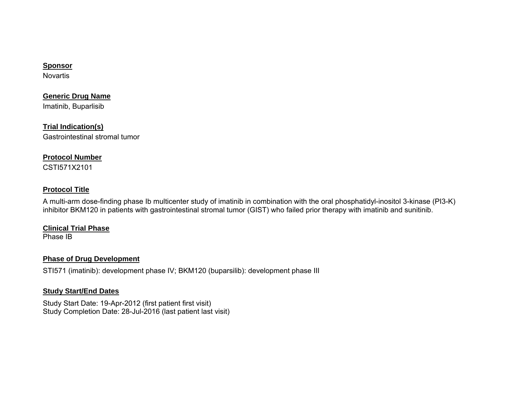## **Sponsor**

Novartis

**Generic Drug Name** 

Imatinib, Buparlisib

**Trial Indication(s)**  Gastrointestinal stromal tumor

## **Protocol Number**

CSTI571X2101

## **Protocol Title**

A multi-arm dose-finding phase Ib multicenter study of imatinib in combination with the oral phosphatidyl-inositol 3-kinase (PI3-K) inhibitor BKM120 in patients with gastrointestinal stromal tumor (GIST) who failed prior therapy with imatinib and sunitinib.

## **Clinical Trial Phase**

Phase IB

## **Phase of Drug Development**

STI571 (imatinib): development phase IV; BKM120 (buparsilib): development phase III

## **Study Start/End Dates**

Study Start Date: 19-Apr-2012 (first patient first visit) Study Completion Date: 28-Jul-2016 (last patient last visit)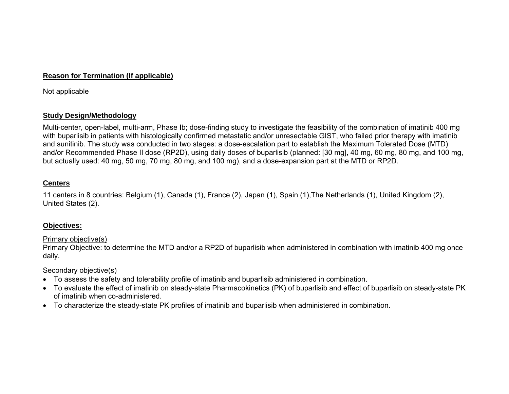## **Reason for Termination (If applicable)**

Not applicable

## **Study Design/Methodology**

Multi-center, open-label, multi-arm, Phase Ib; dose-finding study to investigate the feasibility of the combination of imatinib 400 mg with buparlisib in patients with histologically confirmed metastatic and/or unresectable GIST, who failed prior therapy with imatinib and sunitinib. The study was conducted in two stages: a dose-escalation part to establish the Maximum Tolerated Dose (MTD) and/or Recommended Phase II dose (RP2D), using daily doses of buparlisib (planned: [30 mg], 40 mg, 60 mg, 80 mg, and 100 mg, but actually used: 40 mg, 50 mg, 70 mg, 80 mg, and 100 mg), and a dose-expansion part at the MTD or RP2D.

## **Centers**

11 centers in 8 countries: Belgium (1), Canada (1), France (2), Japan (1), Spain (1),The Netherlands (1), United Kingdom (2), United States (2).

## **Objectives:**

## Primary objective(s)

Primary Objective: to determine the MTD and/or a RP2D of buparlisib when administered in combination with imatinib 400 mg once daily.

## Secondary objective(s)

- To assess the safety and tolerability profile of imatinib and buparlisib administered in combination.
- To evaluate the effect of imatinib on steady-state Pharmacokinetics (PK) of buparlisib and effect of buparlisib on steady-state PK of imatinib when co-administered.
- To characterize the steady-state PK profiles of imatinib and buparlisib when administered in combination.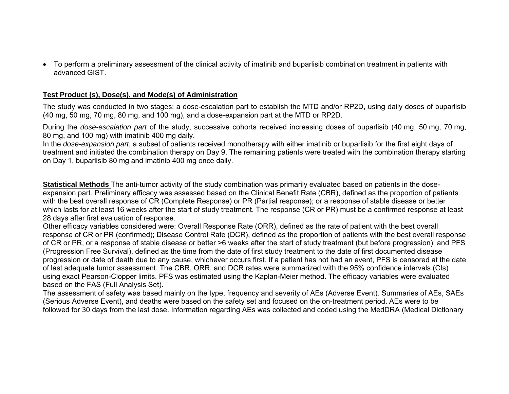To perform a preliminary assessment of the clinical activity of imatinib and buparlisib combination treatment in patients with advanced GIST.

### **Test Product (s), Dose(s), and Mode(s) of Administration**

The study was conducted in two stages: a dose-escalation part to establish the MTD and/or RP2D, using daily doses of buparlisib (40 mg, 50 mg, 70 mg, 80 mg, and 100 mg), and a dose-expansion part at the MTD or RP2D.

During the *dose-escalation part* of the study, successive cohorts received increasing doses of buparlisib (40 mg, 50 mg, 70 mg, 80 mg, and 100 mg) with imatinib 400 mg daily.

In the *dose-expansion part*, a subset of patients received monotherapy with either imatinib or buparlisib for the first eight days of treatment and initiated the combination therapy on Day 9. The remaining patients were treated with the combination therapy starting on Day 1, buparlisib 80 mg and imatinib 400 mg once daily.

**Statistical Methods** The anti-tumor activity of the study combination was primarily evaluated based on patients in the doseexpansion part. Preliminary efficacy was assessed based on the Clinical Benefit Rate (CBR), defined as the proportion of patients with the best overall response of CR (Complete Response) or PR (Partial response); or a response of stable disease or better which lasts for at least 16 weeks after the start of study treatment. The response (CR or PR) must be a confirmed response at least 28 days after first evaluation of response.

Other efficacy variables considered were: Overall Response Rate (ORR), defined as the rate of patient with the best overall response of CR or PR (confirmed); Disease Control Rate (DCR), defined as the proportion of patients with the best overall response of CR or PR, or a response of stable disease or better >6 weeks after the start of study treatment (but before progression); and PFS (Progression Free Survival), defined as the time from the date of first study treatment to the date of first documented disease progression or date of death due to any cause, whichever occurs first. If a patient has not had an event, PFS is censored at the date of last adequate tumor assessment. The CBR, ORR, and DCR rates were summarized with the 95% confidence intervals (CIs) using exact Pearson-Clopper limits. PFS was estimated using the Kaplan-Meier method. The efficacy variables were evaluated based on the FAS (Full Analysis Set).

The assessment of safety was based mainly on the type, frequency and severity of AEs (Adverse Event). Summaries of AEs, SAEs (Serious Adverse Event), and deaths were based on the safety set and focused on the on-treatment period. AEs were to be followed for 30 days from the last dose. Information regarding AEs was collected and coded using the MedDRA (Medical Dictionary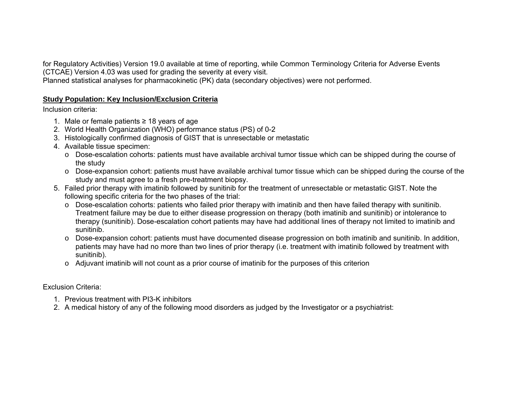for Regulatory Activities) Version 19.0 available at time of reporting, while Common Terminology Criteria for Adverse Events (CTCAE) Version 4.03 was used for grading the severity at every visit.

Planned statistical analyses for pharmacokinetic (PK) data (secondary objectives) were not performed.

## **Study Population: Key Inclusion/Exclusion Criteria**

Inclusion criteria:

- 1. Male or female patients <sup>≥</sup> 18 years of age
- 2. World Health Organization (WHO) performance status (PS) of 0-2
- 3. Histologically confirmed diagnosis of GIST that is unresectable or metastatic
- 4. Available tissue specimen:
	- $\circ$  Dose-escalation cohorts: patients must have available archival tumor tissue which can be shipped during the course of the study
	- $\circ$  Dose-expansion cohort: patients must have available archival tumor tissue which can be shipped during the course of the study and must agree to a fresh pre-treatment biopsy.
- 5. Failed prior therapy with imatinib followed by sunitinib for the treatment of unresectable or metastatic GIST. Note the following specific criteria for the two phases of the trial:
	- <sup>o</sup> Dose-escalation cohorts: patients who failed prior therapy with imatinib and then have failed therapy with sunitinib. Treatment failure may be due to either disease progression on therapy (both imatinib and sunitinib) or intolerance to therapy (sunitinib). Dose-escalation cohort patients may have had additional lines of therapy not limited to imatinib and sunitinib.
	- <sup>o</sup> Dose-expansion cohort: patients must have documented disease progression on both imatinib and sunitinib. In addition, patients may have had no more than two lines of prior therapy (i.e. treatment with imatinib followed by treatment with sunitinib).
	- <sup>o</sup> Adjuvant imatinib will not count as a prior course of imatinib for the purposes of this criterion

# Exclusion Criteria:

- 1. Previous treatment with PI3-K inhibitors
- 2. A medical history of any of the following mood disorders as judged by the Investigator or a psychiatrist: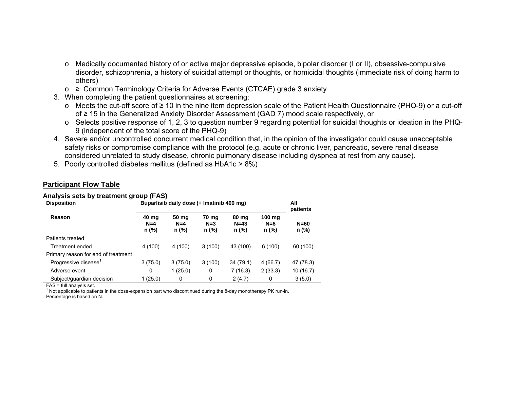- <sup>o</sup> Medically documented history of or active major depressive episode, bipolar disorder (I or II), obsessive-compulsive disorder, schizophrenia, a history of suicidal attempt or thoughts, or homicidal thoughts (immediate risk of doing harm to others)
- o <sup>≥</sup> Common Terminology Criteria for Adverse Events (CTCAE) grade 3 anxiety
- 3. When completing the patient questionnaires at screening:
	- <sup>o</sup> Meets the cut-off score of ≥ 10 in the nine item depression scale of the Patient Health Questionnaire (PHQ-9) or a cut-off of ≥ 15 in the Generalized Anxiety Disorder Assessment (GAD 7) mood scale respectively, or
	- o Selects positive response of 1, 2, 3 to question number 9 regarding potential for suicidal thoughts or ideation in the PHQ-9 (independent of the total score of the PHQ-9)
- 4. Severe and/or uncontrolled concurrent medical condition that, in the opinion of the investigator could cause unacceptable safety risks or compromise compliance with the protocol (e.g. acute or chronic liver, pancreatic, severe renal disease considered unrelated to study disease, chronic pulmonary disease including dyspnea at rest from any cause).
- 5. Poorly controlled diabetes mellitus (defined as HbA1c > 8%)

#### **Participant Flow Table**

#### **Analysis sets by treatment group (FAS)**

| <b>Disposition</b>                  | Buparlisib daily dose (+ Imatinib 400 mg) | All<br>patients         |                         |                          |                          |                 |
|-------------------------------------|-------------------------------------------|-------------------------|-------------------------|--------------------------|--------------------------|-----------------|
| Reason                              | 40 mg<br>$N=4$<br>n (%)                   | 50 mg<br>$N=4$<br>n (%) | 70 mg<br>$N=3$<br>n (%) | 80 mg<br>$N=43$<br>n (%) | 100 mg<br>$N=6$<br>n (%) | $N=60$<br>n (%) |
| Patients treated                    |                                           |                         |                         |                          |                          |                 |
| Treatment ended                     | 4 (100)                                   | 4 (100)                 | 3(100)                  | 43 (100)                 | 6(100)                   | 60 (100)        |
| Primary reason for end of treatment |                                           |                         |                         |                          |                          |                 |
| Progressive disease <sup>1</sup>    | 3(75.0)                                   | 3(75.0)                 | 3(100)                  | 34 (79.1)                | 4(66.7)                  | 47 (78.3)       |
| Adverse event                       | 0                                         | 1(25.0)                 | 0                       | 7(16.3)                  | 2(33.3)                  | 10 (16.7)       |
| Subject/guardian decision           | 1(25.0)                                   | 0                       | 0                       | 2(4.7)                   | 0                        | 3(5.0)          |

FAS = full analysis set.<br><sup>1</sup> Not applicable to patients in the dose-expansion part who discontinued during the 8-day monotherapy PK run-in.

Percentage is based on N.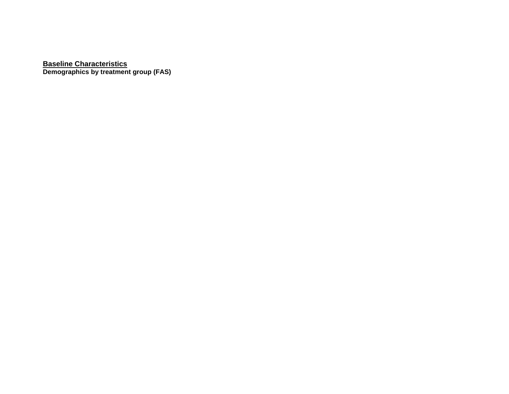**Baseline Characteristics Demographics by treatment group (FAS)**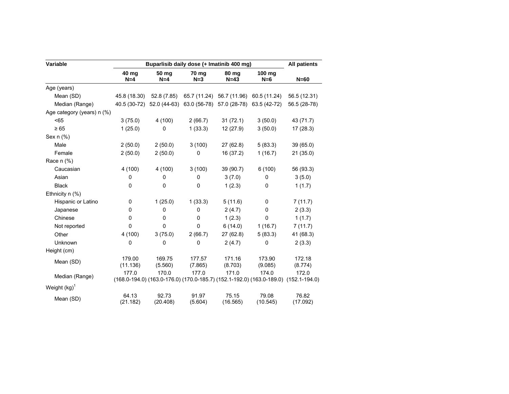| Variable                   |                    | Buparlisib daily dose (+ Imatinib 400 mg) |                   |                   |                                                                                              |                   |  |  |  |  |  |  |
|----------------------------|--------------------|-------------------------------------------|-------------------|-------------------|----------------------------------------------------------------------------------------------|-------------------|--|--|--|--|--|--|
|                            | 40 mg<br>$N=4$     | 50 mg<br>$N=4$                            | 70 mg<br>$N=3$    | 80 mg<br>$N=43$   | 100 mg<br>$N=6$                                                                              | $N=60$            |  |  |  |  |  |  |
| Age (years)                |                    |                                           |                   |                   |                                                                                              |                   |  |  |  |  |  |  |
| Mean (SD)                  | 45.8 (18.30)       | 52.8 (7.85)                               |                   |                   | 65.7 (11.24) 56.7 (11.96) 60.5 (11.24)                                                       | 56.5 (12.31)      |  |  |  |  |  |  |
| Median (Range)             |                    |                                           |                   |                   | 40.5 (30-72) 52.0 (44-63) 63.0 (56-78) 57.0 (28-78) 63.5 (42-72)                             | 56.5 (28-78)      |  |  |  |  |  |  |
| Age category (years) n (%) |                    |                                           |                   |                   |                                                                                              |                   |  |  |  |  |  |  |
| < 65                       | 3(75.0)            | 4 (100)                                   | 2(66.7)           | 31(72.1)          | 3(50.0)                                                                                      | 43 (71.7)         |  |  |  |  |  |  |
| $\geq 65$                  | 1(25.0)            | 0                                         | 1(33.3)           | 12(27.9)          | 3(50.0)                                                                                      | 17(28.3)          |  |  |  |  |  |  |
| Sex n (%)                  |                    |                                           |                   |                   |                                                                                              |                   |  |  |  |  |  |  |
| Male                       | 2(50.0)            | 2(50.0)                                   | 3(100)            | 27(62.8)          | 5(83.3)                                                                                      | 39(65.0)          |  |  |  |  |  |  |
| Female                     | 2(50.0)            | 2(50.0)                                   | 0                 | 16 (37.2)         | 1(16.7)                                                                                      | 21(35.0)          |  |  |  |  |  |  |
| Race n (%)                 |                    |                                           |                   |                   |                                                                                              |                   |  |  |  |  |  |  |
| Caucasian                  | 4 (100)            | 4(100)                                    | 3(100)            | 39 (90.7)         | 6(100)                                                                                       | 56 (93.3)         |  |  |  |  |  |  |
| Asian                      | 0                  | 0                                         | 0                 | 3(7.0)            | 0                                                                                            | 3(5.0)            |  |  |  |  |  |  |
| <b>Black</b>               | $\Omega$           | 0                                         | $\mathbf 0$       | 1(2.3)            | 0                                                                                            | 1(1.7)            |  |  |  |  |  |  |
| Ethnicity $n$ (%)          |                    |                                           |                   |                   |                                                                                              |                   |  |  |  |  |  |  |
| Hispanic or Latino         | 0                  | 1(25.0)                                   | 1(33.3)           | 5(11.6)           | 0                                                                                            | 7(11.7)           |  |  |  |  |  |  |
| Japanese                   | 0                  | 0                                         | 0                 | 2(4.7)            | 0                                                                                            | 2(3.3)            |  |  |  |  |  |  |
| Chinese                    | $\Omega$           | 0                                         | 0                 | 1(2.3)            | $\mathbf 0$                                                                                  | 1(1.7)            |  |  |  |  |  |  |
| Not reported               | $\Omega$           | $\Omega$                                  | $\mathbf 0$       | 6(14.0)           | 1(16.7)                                                                                      | 7(11.7)           |  |  |  |  |  |  |
| Other                      | 4 (100)            | 3(75.0)                                   | 2(66.7)           | 27(62.8)          | 5(83.3)                                                                                      | 41 (68.3)         |  |  |  |  |  |  |
| Unknown                    | 0                  | 0                                         | 0                 | 2(4.7)            | 0                                                                                            | 2(3.3)            |  |  |  |  |  |  |
| Height (cm)                |                    |                                           |                   |                   |                                                                                              |                   |  |  |  |  |  |  |
| Mean (SD)                  | 179.00<br>(11.136) | 169.75<br>(5.560)                         | 177.57<br>(7.865) | 171.16<br>(8.703) | 173.90<br>(9.085)                                                                            | 172.18<br>(8.774) |  |  |  |  |  |  |
| Median (Range)             | 177.0              | 170.0                                     | 177.0             | 171.0             | 174.0<br>(168.0-194.0) (163.0-176.0) (170.0-185.7) (152.1-192.0) (163.0-189.0) (152.1-194.0) | 172.0             |  |  |  |  |  |  |
| Weight (kg) <sup>1</sup>   |                    |                                           |                   |                   |                                                                                              |                   |  |  |  |  |  |  |
| Mean (SD)                  | 64.13<br>(21.182)  | 92.73<br>(20.408)                         | 91.97<br>(5.604)  | 75.15<br>(16.565) | 79.08<br>(10.545)                                                                            | 76.82<br>(17.092) |  |  |  |  |  |  |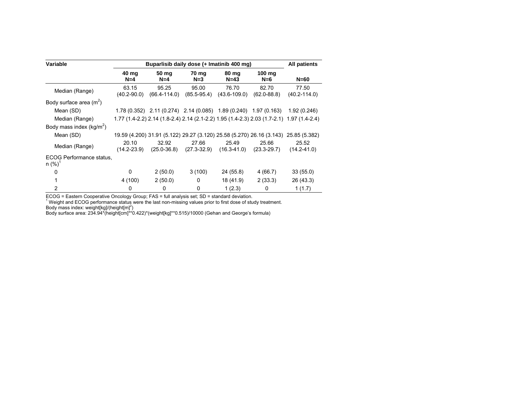| Variable                                       |                          |                           | Buparlisib daily dose (+ Imatinib 400 mg)                        |                           |                          | All patients                                                                              |
|------------------------------------------------|--------------------------|---------------------------|------------------------------------------------------------------|---------------------------|--------------------------|-------------------------------------------------------------------------------------------|
|                                                | 40 mg<br>$N=4$           | 50 mg<br>$N=4$            | 70 mg<br>$N=3$                                                   | 80 mg<br>$N=43$           | 100 $mg$<br>$N=6$        | $N=60$                                                                                    |
| Median (Range)                                 | 63.15<br>$(40.2 - 90.0)$ | 95.25<br>$(66.4 - 114.0)$ | 95.00<br>$(85.5-95.4)$                                           | 76.70<br>$(43.6 - 109.0)$ | 82.70<br>$(62.0 - 88.8)$ | 77.50<br>$(40.2 - 114.0)$                                                                 |
| Body surface area $(m^2)$                      |                          |                           |                                                                  |                           |                          |                                                                                           |
| Mean (SD)                                      |                          |                           | 1.78 (0.352) 2.11 (0.274) 2.14 (0.085) 1.89 (0.240) 1.97 (0.163) |                           |                          | 1.92(0.246)                                                                               |
| Median (Range)                                 |                          |                           |                                                                  |                           |                          | 1.77 (1.4-2.2) 2.14 (1.8-2.4) 2.14 (2.1-2.2) 1.95 (1.4-2.3) 2.03 (1.7-2.1) 1.97 (1.4-2.4) |
| Body mass index ( $kg/m^2$ )                   |                          |                           |                                                                  |                           |                          |                                                                                           |
| Mean (SD)                                      |                          |                           |                                                                  |                           |                          | 19.59 (4.200) 31.91 (5.122) 29.27 (3.120) 25.58 (5.270) 26.16 (3.143) 25.85 (5.382)       |
| Median (Range)                                 | 20.10<br>$(14.2 - 23.9)$ | 32.92<br>$(25.0 - 36.8)$  | 27.66<br>$(27.3 - 32.9)$                                         | 25.49<br>$(16.3 - 41.0)$  | 25.66<br>$(23.3 - 29.7)$ | 25.52<br>$(14.2 - 41.0)$                                                                  |
| ECOG Performance status.<br>$n (\%)^{\dagger}$ |                          |                           |                                                                  |                           |                          |                                                                                           |
| 0                                              | 0                        | 2(50.0)                   | 3(100)                                                           | 24 (55.8)                 | 4 (66.7)                 | 33(55.0)                                                                                  |
| 1                                              | 4 (100)                  | 2(50.0)                   | 0                                                                | 18 (41.9)                 | 2(33.3)                  | 26 (43.3)                                                                                 |
| $\overline{2}$                                 | 0                        | 0                         | 0                                                                | 1(2.3)                    | 0                        | 1(1.7)                                                                                    |

ECOG = Eastern Cooperative Oncology Group; FAS = full analysis set; SD = standard deviation.<br><sup>1</sup> Weight and ECOG performance status were the last non-missing values prior to first dose of study treatment. Body mass index: weight[kg]/(height[m]<sup>2</sup>)

Body surface area: 234.94\*(height[cm]\*\*0.422)\*(weight[kg]\*\*0.515)/10000 (Gehan and George's formula)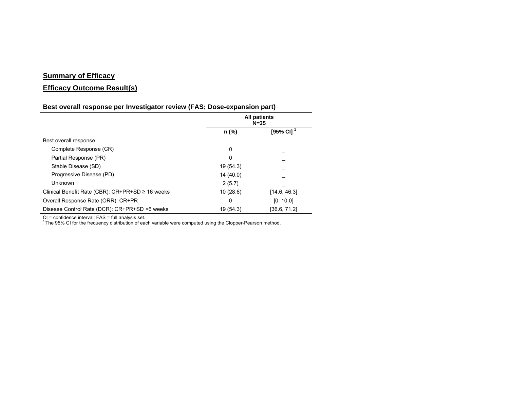## **Summary of Efficacy**

# **Efficacy Outcome Result(s)**

## **Best overall response per Investigator review (FAS; Dose-expansion part)**

|                                                  |           | <b>All patients</b><br>$N = 35$ |
|--------------------------------------------------|-----------|---------------------------------|
|                                                  | n (%)     | [95% CI] <sup>1</sup>           |
| Best overall response                            |           |                                 |
| Complete Response (CR)                           | 0         |                                 |
| Partial Response (PR)                            | 0         |                                 |
| Stable Disease (SD)                              | 19 (54.3) |                                 |
| Progressive Disease (PD)                         | 14 (40.0) |                                 |
| Unknown                                          | 2(5.7)    |                                 |
| Clinical Benefit Rate (CBR): CR+PR+SD ≥ 16 weeks | 10(28.6)  | [14.6, 46.3]                    |
| Overall Response Rate (ORR): CR+PR               | 0         | [0, 10.0]                       |
| Disease Control Rate (DCR): CR+PR+SD >6 weeks    | 19 (54.3) | [36.6, 71.2]                    |

CI = confidence interval; FAS = full analysis set.<br><sup>1</sup> The 95% CI for the frequency distribution of each variable were computed using the Clopper-Pearson method.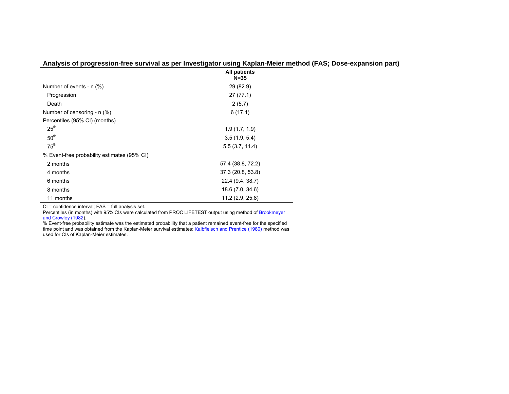|                                             | <b>All patients</b><br>$N = 35$ |
|---------------------------------------------|---------------------------------|
| Number of events - n (%)                    | 29 (82.9)                       |
| Progression                                 | 27(77.1)                        |
| Death                                       | 2(5.7)                          |
| Number of censoring - $n$ (%)               | 6(17.1)                         |
| Percentiles (95% CI) (months)               |                                 |
| 25 <sup>th</sup>                            | 1.9(1.7, 1.9)                   |
| 50 <sup>th</sup>                            | 3.5(1.9, 5.4)                   |
| 75 <sup>th</sup>                            | 5.5(3.7, 11.4)                  |
| % Event-free probability estimates (95% CI) |                                 |
| 2 months                                    | 57.4 (38.8, 72.2)               |
| 4 months                                    | 37.3 (20.8, 53.8)               |
| 6 months                                    | 22.4 (9.4, 38.7)                |
| 8 months                                    | 18.6 (7.0, 34.6)                |
| 11 months                                   | 11.2 (2.9, 25.8)                |

**Analysis of progression-free survival as per Investigator using Kaplan-Meier method (FAS; Dose-expansion part)** 

CI = confidence interval; FAS = full analysis set.

Percentiles (in months) with 95% CIs were calculated from PROC LIFETEST output using method of Brookmeyer and Crowley (1982).

% Event-free probability estimate was the estimated probability that a patient remained event-free for the specified time point and was obtained from the Kaplan-Meier survival estimates; Kalbfleisch and Prentice (1980) method was used for CIs of Kaplan-Meier estimates.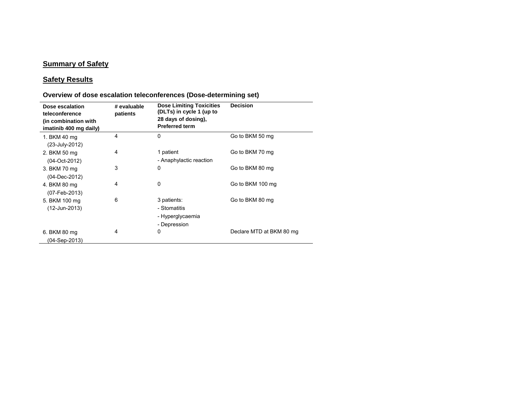### **Summary of Safety**

### **Safety Results**

#### **Dose escalation teleconference (in combination with imatinib 400 mg daily) # evaluable patients Dose Limiting Toxicities (DLTs) in cycle 1 (up to 28 days of dosing), Preferred termDecision**1. BKM 40 mg (23-July-2012) 4 0 Go to BKM 50 mg 2. BKM 50 mg (04-Oct-2012) 4 1 patient - Anaphylactic reaction Go to BKM 70 mg 3. BKM 70 mg (04-Dec-2012) 3 0 Go to BKM 80 mg 4. BKM 80 mg (07-Feb-2013) 4 0 Go to BKM 100 mg 5. BKM 100 mg (12-Jun-2013) 6 3 patients: - Stomatitis - Hyperglycaemia - Depression Go to BKM 80 mg 6. BKM 80 mg (04-Sep-2013) 4 0 Declare MTD at BKM 80 mg

#### **Overview of dose escalation teleconferences (Dose-determining set)**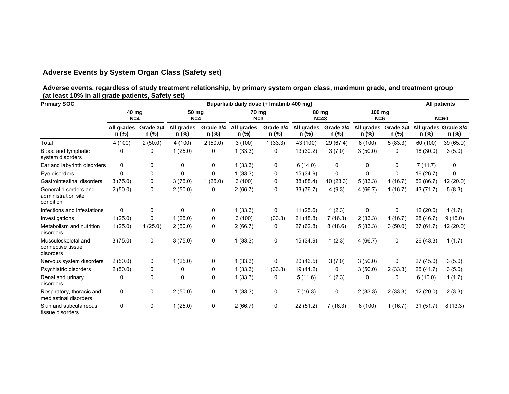# **Adverse Events by System Organ Class (Safety set)**

**Adverse events, regardless of study treatment relationship, by primary system organ class, maximum grade, and treatment group (at least 10% in all grade patients, Safety set)**

| <b>Primary SOC</b>                                        |                     |                    | <b>All patients</b> |                    |                     |                    |                     |                    |                               |         |                               |           |
|-----------------------------------------------------------|---------------------|--------------------|---------------------|--------------------|---------------------|--------------------|---------------------|--------------------|-------------------------------|---------|-------------------------------|-----------|
|                                                           |                     | 40 mg<br>$N=4$     |                     | 50 mg<br>$N=4$     |                     | 70 ma<br>$N=3$     | 80 mg<br>$N=43$     |                    | 100 mg<br>$N=6$               |         | $N=60$                        |           |
|                                                           | All grades<br>n (%) | Grade 3/4<br>n (%) | All grades<br>n (%) | Grade 3/4<br>n (%) | All grades<br>n (%) | Grade 3/4<br>n (%) | All grades<br>n (%) | Grade 3/4<br>n (%) | All grades Grade 3/4<br>n (%) | n (%)   | All grades Grade 3/4<br>n (%) | n (%)     |
| Total                                                     | 4(100)              | 2(50.0)            | 4(100)              | 2(50.0)            | 3(100)              | 1(33.3)            | 43 (100)            | 29 (67.4)          | 6(100)                        | 5(83.3) | 60 (100)                      | 39 (65.0) |
| Blood and lymphatic<br>system disorders                   | 0                   | 0                  | 1(25.0)             | 0                  | 1(33.3)             | 0                  | 13(30.2)            | 3(7.0)             | 3(50.0)                       | 0       | 18 (30.0)                     | 3(5.0)    |
| Ear and labyrinth disorders                               | 0                   | 0                  | 0                   | 0                  | 1(33.3)             | 0                  | 6(14.0)             | 0                  | 0                             | 0       | 7(11.7)                       | 0         |
| Eye disorders                                             | $\Omega$            | 0                  | 0                   | 0                  | 1(33.3)             | 0                  | 15 (34.9)           | 0                  | 0                             | 0       | 16 (26.7)                     | 0         |
| Gastrointestinal disorders                                | 3(75.0)             | 0                  | 3(75.0)             | 1(25.0)            | 3(100)              | 0                  | 38 (88.4)           | 10(23.3)           | 5(83.3)                       | 1(16.7) | 52 (86.7)                     | 12 (20.0) |
| General disorders and<br>administration site<br>condition | 2(50.0)             | 0                  | 2(50.0)             | 0                  | 2(66.7)             | 0                  | 33 (76.7)           | 4(9.3)             | 4(66.7)                       | 1(16.7) | 43 (71.7)                     | 5(8.3)    |
| Infections and infestations                               | 0                   | 0                  | $\Omega$            | 0                  | 1(33.3)             | $\mathbf{0}$       | 11(25.6)            | 1(2.3)             | 0                             | 0       | 12 (20.0)                     | 1(1.7)    |
| Investigations                                            | 1(25.0)             | 0                  | 1(25.0)             | 0                  | 3(100)              | 1(33.3)            | 21(48.8)            | 7(16.3)            | 2(33.3)                       | 1(16.7) | 28 (46.7)                     | 9(15.0)   |
| Metabolism and nutrition<br>disorders                     | 1(25.0)             | 1(25.0)            | 2(50.0)             | 0                  | 2(66.7)             | 0                  | 27(62.8)            | 8(18.6)            | 5(83.3)                       | 3(50.0) | 37 (61.7)                     | 12 (20.0) |
| Musculoskeletal and<br>connective tissue<br>disorders     | 3(75.0)             | 0                  | 3(75.0)             | 0                  | 1(33.3)             | 0                  | 15(34.9)            | 1(2.3)             | 4(66.7)                       | 0       | 26 (43.3)                     | 1(1.7)    |
| Nervous system disorders                                  | 2(50.0)             | 0                  | 1(25.0)             | 0                  | 1(33.3)             | 0                  | 20(46.5)            | 3(7.0)             | 3(50.0)                       | 0       | 27(45.0)                      | 3(5.0)    |
| Psychiatric disorders                                     | 2(50.0)             | 0                  | 0                   | 0                  | 1(33.3)             | 1(33.3)            | 19 (44.2)           | 0                  | 3(50.0)                       | 2(33.3) | 25(41.7)                      | 3(5.0)    |
| Renal and urinary<br>disorders                            | 0                   | 0                  | 0                   | 0                  | 1(33.3)             | 0                  | 5(11.6)             | 1(2.3)             | 0                             | 0       | 6(10.0)                       | 1(1.7)    |
| Respiratory, thoracic and<br>mediastinal disorders        | 0                   | 0                  | 2(50.0)             | 0                  | 1(33.3)             | 0                  | 7(16.3)             | 0                  | 2(33.3)                       | 2(33.3) | 12 (20.0)                     | 2(3.3)    |
| Skin and subcutaneous<br>tissue disorders                 | 0                   | 0                  | 1(25.0)             | 0                  | 2(66.7)             | 0                  | 22(51.2)            | 7(16.3)            | 6(100)                        | 1(16.7) | 31(51.7)                      | 8(13.3)   |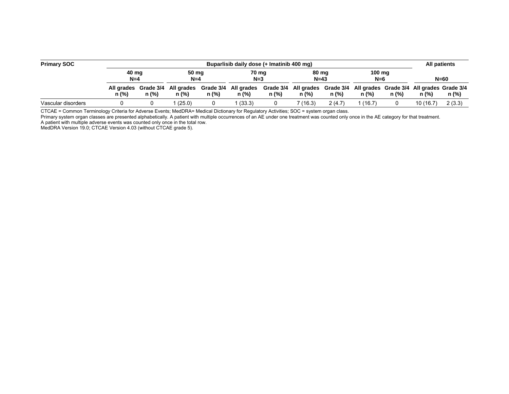| <b>Primary SOC</b> |       | Buparlisib daily dose (+ Imatinib 400 mg) |        |                |                                          |                |                                                                                   |                 |         |                           |           |        |  |
|--------------------|-------|-------------------------------------------|--------|----------------|------------------------------------------|----------------|-----------------------------------------------------------------------------------|-----------------|---------|---------------------------|-----------|--------|--|
|                    |       | 40 ma<br>$N=4$                            |        | 50 mg<br>$N=4$ |                                          | 70 mg<br>$N=3$ |                                                                                   | 80 mg<br>$N=43$ |         | $100 \text{ mg}$<br>$N=6$ |           | $N=60$ |  |
|                    | n (%) | All grades Grade 3/4<br>n (%)             | n (%)  | n (%)          | All grades Grade 3/4 All grades<br>n (%) | $n$ (%)        | Grade 3/4 All grades Grade 3/4 All grades Grade 3/4 All grades Grade 3/4<br>n (%) | n (%)           | n (%)   | n (%)                     | n (%)     | n (%)  |  |
| Vascular disorders |       |                                           | (25.0) |                | (33.3)                                   |                | 7(16.3)                                                                           | 2(4.7)          | 1(16.7) |                           | 10 (16.7) | 2(3.3) |  |

CTCAE = Common Terminology Criteria for Adverse Events; MedDRA= Medical Dictionary for Regulatory Activities; SOC = system organ class.

Primary system organ classes are presented alphabetically. A patient with multiple occurrences of an AE under one treatment was counted only once in the AE category for that treatment. A patient with multiple adverse events was counted only once in the total row.

MedDRA Version 19.0; CTCAE Version 4.03 (without CTCAE grade 5).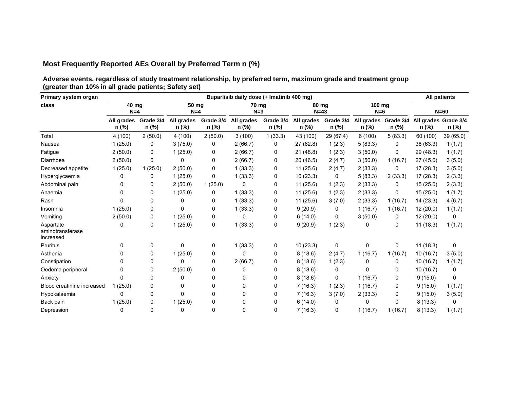# **Most Frequently Reported AEs Overall by Preferred Term n (%)**

**Adverse events, regardless of study treatment relationship, by preferred term, maximum grade and treatment group (greater than 10% in all grade patients; Safety set)** 

| Primary system organ                       |                     | Buparlisib daily dose (+ Imatinib 400 mg) |                     |                    |                     |                    |                     |                    |                               |         |                               |           |  |
|--------------------------------------------|---------------------|-------------------------------------------|---------------------|--------------------|---------------------|--------------------|---------------------|--------------------|-------------------------------|---------|-------------------------------|-----------|--|
| class                                      | 40 mg<br>$N=4$      |                                           | 50 mg<br>$N=4$      |                    | 70 mg<br>$N=3$      |                    | 80 mg<br>$N=43$     |                    | 100 mg<br>$N=6$               |         | $N=60$                        |           |  |
|                                            | All grades<br>n (%) | Grade 3/4<br>n (%)                        | All grades<br>n (%) | Grade 3/4<br>n (%) | All grades<br>n (%) | Grade 3/4<br>n (%) | All grades<br>n (%) | Grade 3/4<br>n (%) | All grades Grade 3/4<br>n (%) | n (%)   | All grades Grade 3/4<br>n (%) | n (%)     |  |
| Total                                      | 4(100)              | 2(50.0)                                   | 4 (100)             | 2(50.0)            | 3(100)              | 1(33.3)            | 43 (100)            | 29 (67.4)          | 6(100)                        | 5(83.3) | 60 (100)                      | 39 (65.0) |  |
| Nausea                                     | 1(25.0)             | 0                                         | 3(75.0)             | 0                  | 2(66.7)             | 0                  | 27 (62.8)           | 1(2.3)             | 5(83.3)                       | 0       | 38 (63.3)                     | 1(1.7)    |  |
| Fatigue                                    | 2(50.0)             | 0                                         | 1(25.0)             | 0                  | 2(66.7)             | 0                  | 21(48.8)            | 1(2.3)             | 3(50.0)                       | 0       | 29 (48.3)                     | 1(1.7)    |  |
| Diarrhoea                                  | 2(50.0)             | 0                                         | 0                   | 0                  | 2(66.7)             | 0                  | 20(46.5)            | 2(4.7)             | 3(50.0)                       | 1(16.7) | 27 (45.0)                     | 3(5.0)    |  |
| Decreased appetite                         | 1(25.0)             | 1(25.0)                                   | 2(50.0)             | 0                  | 1(33.3)             | 0                  | 11(25.6)            | 2(4.7)             | 2(33.3)                       | 0       | 17(28.3)                      | 3(5.0)    |  |
| Hyperglycaemia                             | 0                   | 0                                         | 1(25.0)             | 0                  | 1(33.3)             | 0                  | 10(23.3)            | 0                  | 5(83.3)                       | 2(33.3) | 17(28.3)                      | 2(3.3)    |  |
| Abdominal pain                             | 0                   | 0                                         | 2(50.0)             | 1(25.0)            | 0                   | 0                  | 11(25.6)            | 1(2.3)             | 2(33.3)                       | 0       | 15(25.0)                      | 2(3.3)    |  |
| Anaemia                                    | 0                   | 0                                         | 1(25.0)             | 0                  | 1(33.3)             | 0                  | 11(25.6)            | 1(2.3)             | 2(33.3)                       | 0       | 15(25.0)                      | 1(1.7)    |  |
| Rash                                       | 0                   | 0                                         | 0                   | 0                  | 1(33.3)             | 0                  | 11(25.6)            | 3(7.0)             | 2(33.3)                       | 1(16.7) | 14(23.3)                      | 4(6.7)    |  |
| Insomnia                                   | 1(25.0)             | 0                                         | $\Omega$            | 0                  | 1(33.3)             | 0                  | 9(20.9)             | 0                  | 1(16.7)                       | 1(16.7) | 12(20.0)                      | 1(1.7)    |  |
| Vomiting                                   | 2(50.0)             | 0                                         | 1(25.0)             | 0                  | 0                   | 0                  | 6(14.0)             | $\mathbf{0}$       | 3(50.0)                       | 0       | 12(20.0)                      | 0         |  |
| Aspartate<br>aminotransferase<br>increased | 0                   | 0                                         | 1(25.0)             | 0                  | 1(33.3)             | 0                  | 9(20.9)             | 1(2.3)             | 0                             | 0       | 11(18.3)                      | 1(1.7)    |  |
| Pruritus                                   | 0                   | 0                                         | 0                   | 0                  | 1(33.3)             | 0                  | 10(23.3)            | $\mathbf 0$        | 0                             | 0       | 11(18.3)                      | 0         |  |
| Asthenia                                   | 0                   | 0                                         | 1(25.0)             | 0                  | 0                   | 0                  | 8(18.6)             | 2(4.7)             | 1(16.7)                       | 1(16.7) | 10(16.7)                      | 3(5.0)    |  |
| Constipation                               | 0                   | 0                                         | 0                   | 0                  | 2(66.7)             | 0                  | 8(18.6)             | 1(2.3)             | 0                             | 0       | 10(16.7)                      | 1(1.7)    |  |
| Oedema peripheral                          | 0                   | 0                                         | 2(50.0)             | 0                  | 0                   | 0                  | 8(18.6)             | $\Omega$           | 0                             | 0       | 10(16.7)                      | 0         |  |
| Anxiety                                    | 0                   | 0                                         | 0                   | 0                  | 0                   | 0                  | 8(18.6)             | $\mathbf{0}$       | 1(16.7)                       | 0       | 9(15.0)                       | 0         |  |
| Blood creatinine increased                 | 1(25.0)             | 0                                         | 0                   | 0                  | 0                   | 0                  | 7(16.3)             | 1(2.3)             | 1(16.7)                       | 0       | 9(15.0)                       | 1(1.7)    |  |
| Hypokalaemia                               | 0                   | 0                                         | 0                   | 0                  | 0                   | 0                  | 7(16.3)             | 3(7.0)             | 2(33.3)                       | 0       | 9(15.0)                       | 3(5.0)    |  |
| Back pain                                  | 1(25.0)             | 0                                         | 1(25.0)             | 0                  | 0                   | 0                  | 6(14.0)             | 0                  | 0                             | 0       | 8(13.3)                       | 0         |  |
| Depression                                 | 0                   | 0                                         | 0                   | 0                  | 0                   | 0                  | 7(16.3)             | 0                  | 1(16.7)                       | 1(16.7) | 8(13.3)                       | 1(1.7)    |  |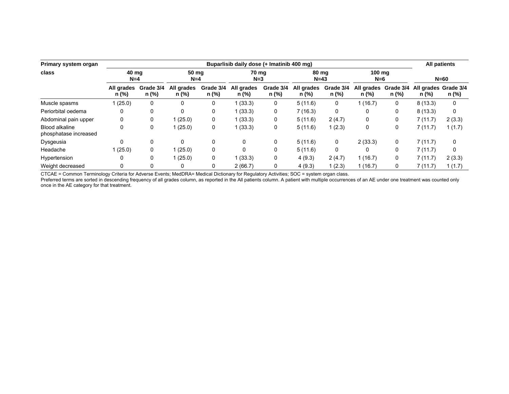| Primary system organ                    |                     | Buparlisib daily dose (+ Imatinib 400 mg) |                     |                    |                     |                    |                     |                    |                     |                    |                               |              |  |
|-----------------------------------------|---------------------|-------------------------------------------|---------------------|--------------------|---------------------|--------------------|---------------------|--------------------|---------------------|--------------------|-------------------------------|--------------|--|
| class                                   |                     | 40 ma<br>$N=4$                            |                     | 50 mg<br>$N=4$     |                     | 70 ma<br>$N = 3$   | 80 mg<br>$N=43$     |                    | 100 ma<br>$N=6$     |                    | $N=60$                        |              |  |
|                                         | All grades<br>n (%) | Grade 3/4<br>n (%)                        | All grades<br>n (%) | Grade 3/4<br>n (%) | All grades<br>n (%) | Grade 3/4<br>n (%) | All grades<br>n (%) | Grade 3/4<br>n (%) | All grades<br>n (%) | Grade 3/4<br>n (%) | All grades Grade 3/4<br>n (%) | n (%)        |  |
| Muscle spasms                           | (25.0)              | 0                                         | $\mathbf{0}$        | 0                  | (33.3)              | 0                  | 5(11.6)             | 0                  | 1(16.7)             | 0                  | 8(13.3)                       | 0            |  |
| Periorbital oedema                      | 0                   | 0                                         | $\Omega$            | 0                  | (33.3)              | 0                  | 7(16.3)             | 0                  | 0                   | 0                  | 8(13.3)                       | $\mathbf{0}$ |  |
| Abdominal pain upper                    | 0                   | 0                                         | 1(25.0)             | 0                  | 1(33.3)             | 0                  | 5(11.6)             | 2(4.7)             | 0                   | 0                  | 7(11.7)                       | 2(3.3)       |  |
| Blood alkaline<br>phosphatase increased | 0                   | 0                                         | 1(25.0)             | 0                  | (33.3)              | 0                  | 5(11.6)             | 1(2.3)             | 0                   | 0                  | 7(11.7)                       | 1(1.7)       |  |
| Dysgeusia                               | 0                   | 0                                         | $\mathbf{0}$        | 0                  | 0                   | 0                  | 5(11.6)             | 0                  | 2(33.3)             | 0                  | 7(11.7)                       | 0            |  |
| Headache                                | 1(25.0)             | 0                                         | 1(25.0)             | 0                  | $\Omega$            | 0                  | 5(11.6)             | $\mathbf{0}$       | 0                   | 0                  | 7(11.7)                       | $\mathbf{0}$ |  |
| Hypertension                            | 0                   | 0                                         | 1(25.0)             | 0                  | 1(33.3)             | 0                  | 4(9.3)              | 2(4.7)             | 1(16.7)             | 0                  | 7(11.7)                       | 2(3.3)       |  |
| Weight decreased                        | 0                   | 0                                         | 0                   | 0                  | 2(66.7)             | 0                  | 4(9.3)              | 1(2.3)             | 1(16.7)             | 0                  | 7(11.7)                       | 1(1.7)       |  |

CTCAE = Common Terminology Criteria for Adverse Events; MedDRA= Medical Dictionary for Regulatory Activities; SOC = system organ class.

Preferred terms are sorted in descending frequency of all grades column, as reported in the All patients column. A patient with multiple occurrences of an AE under one treatment was counted only once in the AE category for that treatment.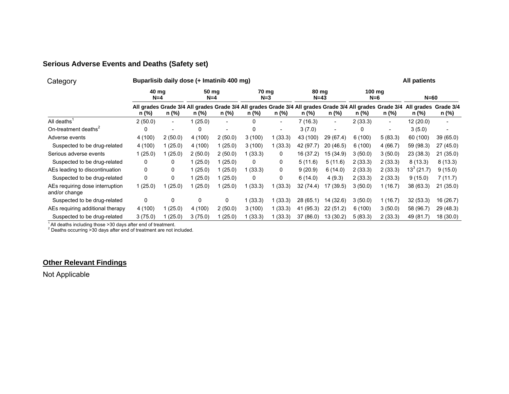# **Serious Adverse Events and Deaths (Safety set)**

| Category                                         |                | Buparlisib daily dose (+ Imatinib 400 mg) |                |                          |                  |                          |                 |                          |                 |                          |                                                                                                                                        |           |  |
|--------------------------------------------------|----------------|-------------------------------------------|----------------|--------------------------|------------------|--------------------------|-----------------|--------------------------|-----------------|--------------------------|----------------------------------------------------------------------------------------------------------------------------------------|-----------|--|
|                                                  | 40 ma<br>$N=4$ |                                           | 50 mg<br>$N=4$ |                          | 70 mg<br>$N = 3$ |                          | 80 mg<br>$N=43$ |                          | 100 mg<br>$N=6$ |                          | $N=60$                                                                                                                                 |           |  |
|                                                  | n (%)          | n (%)                                     | n (%)          | n (%)                    | n (%)            | n (%)                    | n (%)           | n (%)                    | n (%)           | n (%)                    | All grades Grade 3/4 All grades Grade 3/4 All grades Grade 3/4 All grades Grade 3/4 All grades Grade 3/4 All grades Grade 3/4<br>n (%) | n (%)     |  |
| All deaths'                                      | 2(50.0)        | $\sim$                                    | 1(25.0)        | $\overline{\phantom{a}}$ | 0                | $\sim$                   | 7 (16.3)        | $\overline{\phantom{a}}$ | 2(33.3)         | $\overline{\phantom{0}}$ | 12 (20.0)                                                                                                                              |           |  |
| On-treatment deaths <sup>2</sup>                 | 0              |                                           | 0              |                          | 0                | $\overline{\phantom{a}}$ | 3(7.0)          |                          | 0               |                          | 3(5.0)                                                                                                                                 |           |  |
| Adverse events                                   | 4 (100)        | 2(50.0)                                   | 4 (100)        | 2(50.0)                  | 3(100)           | 1 (33.3)                 | 43 (100)        | 29(67.4)                 | 6(100)          | 5(83.3)                  | 60 (100)                                                                                                                               | 39(65.0)  |  |
| Suspected to be drug-related                     | 4(100)         | 1(25.0)                                   | 4 (100)        | 1(25.0)                  | 3(100)           | 1(33.3)                  | 42 (97.7)       | 20(46.5)                 | 6(100)          | 4(66.7)                  | 59 (98.3)                                                                                                                              | 27(45.0)  |  |
| Serious adverse events                           | 1(25.0)        | 1 (25.0)                                  | 2(50.0)        | 2(50.0)                  | 1(33.3)          | 0                        | 16 (37.2)       | 15 (34.9)                | 3(50.0)         | 3(50.0)                  | 23 (38.3)                                                                                                                              | 21(35.0)  |  |
| Suspected to be drug-related                     | 0              | 0                                         | 1(25.0)        | 1(25.0)                  | 0                | 0                        | 5(11.6)         | 5(11.6)                  | 2(33.3)         | 2(33.3)                  | 8(13.3)                                                                                                                                | 8(13.3)   |  |
| AEs leading to discontinuation                   | 0              | 0                                         | 1(25.0)        | 1(25.0)                  | 1(33.3)          | 0                        | 9(20.9)         | 6(14.0)                  | 2(33.3)         | 2(33.3)                  | $13^3(21.7)$                                                                                                                           | 9(15.0)   |  |
| Suspected to be drug-related                     | 0              | 0                                         | 1(25.0)        | 1(25.0)                  | 0                | 0                        | 6(14.0)         | 4(9.3)                   | 2(33.3)         | 2(33.3)                  | 9(15.0)                                                                                                                                | 7(11.7)   |  |
| AEs requiring dose interruption<br>and/or change | 1(25.0)        | (25.0)                                    | (25.0)         | 1 (25.0)                 | 1(33.3)          | 1(33.3)                  | 32 (74.4)       | 17 (39.5)                | 3(50.0)         | 1(16.7)                  | 38 (63.3)                                                                                                                              | 21 (35.0) |  |
| Suspected to be drug-related                     | 0              | $\mathbf{0}$                              | $\mathbf{0}$   | 0                        | 1(33.3)          | 1 (33.3)                 | 28 (65.1)       | 14 (32.6)                | 3(50.0)         | 1(16.7)                  | 32(53.3)                                                                                                                               | 16 (26.7) |  |
| AEs requiring additional therapy                 | 4(100)         | 1(25.0)                                   | 4(100)         | 2(50.0)                  | 3(100)           | 1(33.3)                  | 41 (95.3)       | 22(51.2)                 | 6(100)          | 3(50.0)                  | 58 (96.7)                                                                                                                              | 29 (48.3) |  |
| Suspected to be drug-related                     | 3(75.0)        | (25.0)                                    | 3(75.0)        | 1 (25.0)                 | 1(33.3)          | 1 (33.3)                 | 37 (86.0)       | 13 (30.2)                | 5(83.3)         | 2(33.3)                  | 49 (81.7)                                                                                                                              | 18(30.0)  |  |

 $\frac{1}{2}$  All deaths including those >30 days after end of treatment.<br>
<sup>2</sup> Deaths occurring >30 days after end of treatment are not included.

# **Other Relevant Findings**

Not Applicable